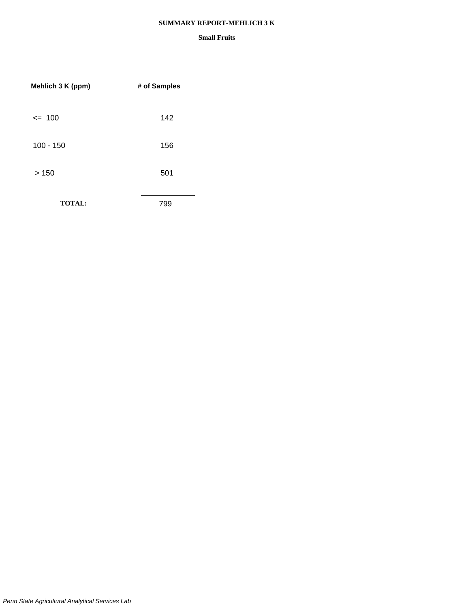#### **SUMMARY REPORT-MEHLICH 3 K**

| Mehlich 3 K (ppm) | # of Samples |
|-------------------|--------------|
| $= 100$           | 142          |
| $100 - 150$       | 156          |
| >150              | 501          |
| <b>TOTAL:</b>     | 799          |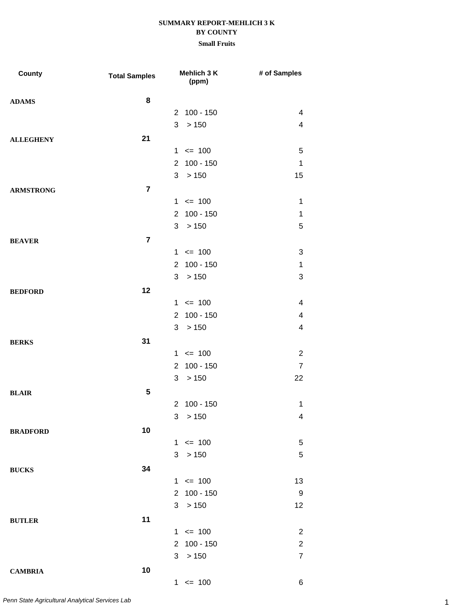| County           | <b>Total Samples</b> | Mehlich 3 K<br>(ppm)          | # of Samples            |
|------------------|----------------------|-------------------------------|-------------------------|
| <b>ADAMS</b>     | 8                    |                               |                         |
|                  |                      | 2 100 - 150                   | 4                       |
|                  |                      | 3<br>> 150                    | $\overline{\mathbf{4}}$ |
| <b>ALLEGHENY</b> | 21                   |                               |                         |
|                  |                      | $1 \le 100$                   | 5                       |
|                  |                      | $100 - 150$<br>$\overline{2}$ | $\mathbf 1$             |
|                  |                      | 3 > 150                       | 15                      |
| <b>ARMSTRONG</b> | $\overline{7}$       |                               |                         |
|                  |                      | $1 \le 100$                   | 1                       |
|                  |                      | $100 - 150$<br>$\mathbf{2}$   | $\mathbf 1$             |
|                  |                      | 3<br>>150                     | 5                       |
| <b>BEAVER</b>    | $\overline{7}$       |                               |                         |
|                  |                      | $1 \le 100$                   | 3                       |
|                  |                      | $100 - 150$<br>$\overline{2}$ | $\mathbf 1$             |
|                  |                      | 3<br>>150                     | 3                       |
| <b>BEDFORD</b>   | 12                   |                               |                         |
|                  |                      | $1 \le 100$                   | 4                       |
|                  |                      | $100 - 150$<br>2 <sup>1</sup> | 4                       |
|                  |                      | 3<br>>150                     | $\overline{\mathbf{4}}$ |
| <b>BERKS</b>     | 31                   |                               |                         |
|                  |                      | $1 \le 100$                   | $\overline{2}$          |
|                  |                      | $100 - 150$<br>$\overline{2}$ | $\overline{7}$          |
|                  |                      | 3<br>>150                     | 22                      |
| <b>BLAIR</b>     | 5                    |                               |                         |
|                  |                      | 2 100 - 150                   | $\mathbf 1$             |
|                  |                      | 3 > 150                       | 4                       |
| <b>BRADFORD</b>  | 10                   |                               |                         |
|                  |                      | $= 100$<br>1                  | 5                       |
|                  |                      | 3<br>>150                     | 5                       |
|                  | 34                   |                               |                         |
| <b>BUCKS</b>     |                      | $1 \le 100$                   | 13                      |
|                  |                      | 2 100 - 150                   | 9                       |
|                  |                      | 3 > 150                       | 12                      |
|                  | 11                   |                               |                         |
| <b>BUTLER</b>    |                      | $1 \le 100$                   | $\overline{2}$          |
|                  |                      | 2 100 - 150                   | $\overline{c}$          |
|                  |                      | 3<br>>150                     | $\overline{7}$          |
|                  |                      |                               |                         |
| <b>CAMBRIA</b>   | 10                   | $1 \le 100$                   | 6                       |
|                  |                      |                               |                         |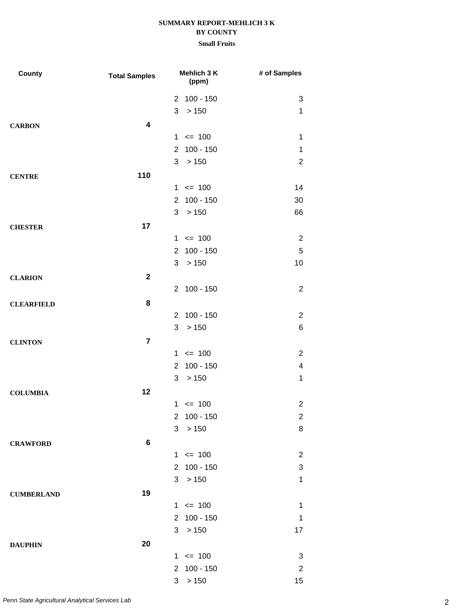| County            | <b>Total Samples</b> | Mehlich 3 K<br>(ppm)                 | # of Samples   |
|-------------------|----------------------|--------------------------------------|----------------|
|                   |                      | 2 100 - 150                          | 3              |
|                   |                      | 3<br>>150                            | 1              |
| <b>CARBON</b>     | 4                    |                                      |                |
|                   |                      | $1 \le 100$                          | $\mathbf 1$    |
|                   |                      | $100 - 150$<br>$\overline{2}$        | $\mathbf 1$    |
|                   |                      | > 150<br>3                           | $\overline{2}$ |
| <b>CENTRE</b>     | 110                  |                                      |                |
|                   |                      | $1 \le 100$                          | 14             |
|                   |                      | $100 - 150$<br>$\overline{2}$        | 30             |
|                   |                      | 3<br>>150                            | 66             |
| <b>CHESTER</b>    | 17                   |                                      |                |
|                   |                      | $1 \le 100$                          | $\overline{2}$ |
|                   |                      | $100 - 150$<br>$\overline{2}$        | $\mathbf 5$    |
|                   |                      | > 150<br>3                           | 10             |
| <b>CLARION</b>    | $\mathbf{2}$         |                                      |                |
|                   |                      | 2 100 - 150                          | $\overline{2}$ |
| <b>CLEARFIELD</b> | 8                    |                                      |                |
|                   |                      | 2 100 - 150                          | $\overline{2}$ |
|                   |                      | > 150<br>3                           | 6              |
| <b>CLINTON</b>    | $\overline{7}$       |                                      |                |
|                   |                      | $1 \le 100$                          | $\overline{2}$ |
|                   |                      | $100 - 150$<br>$\mathbf{2}^{\prime}$ | 4              |
|                   |                      | 3<br>>150                            | $\mathbf 1$    |
| <b>COLUMBIA</b>   | 12                   |                                      |                |
|                   |                      | $1 \le 100$                          | $\overline{2}$ |
|                   |                      | $100 - 150$<br>2                     | $\overline{c}$ |
|                   |                      | > 150<br>3                           | 8              |
| <b>CRAWFORD</b>   | 6                    |                                      |                |
|                   |                      | $1 \le 100$                          | $\overline{2}$ |
|                   |                      | $100 - 150$<br>$\overline{2}$        | 3              |
|                   |                      | > 150<br>3                           | $\mathbf 1$    |
| <b>CUMBERLAND</b> | 19                   |                                      |                |
|                   |                      | $1 \le 100$                          | $\mathbf 1$    |
|                   |                      | $100 - 150$<br>$\overline{2}$        | $\mathbf 1$    |
|                   |                      | 3<br>>150                            | 17             |
| <b>DAUPHIN</b>    | 20                   |                                      |                |
|                   |                      | $\leq$ 100<br>$\mathbf{1}$           | 3              |
|                   |                      | $100 - 150$<br>$\overline{2}$        | $\overline{c}$ |
|                   |                      | >150<br>3                            | 15             |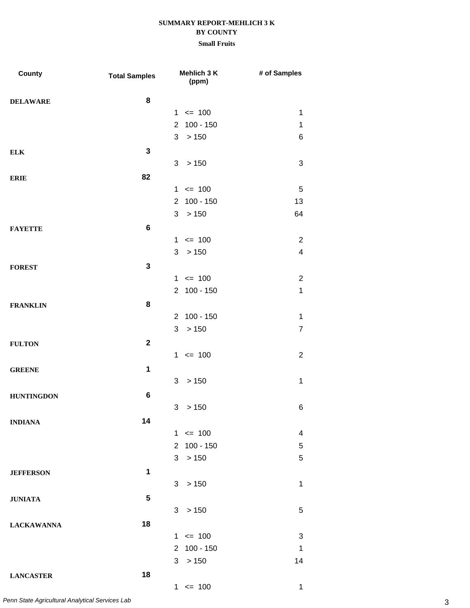## **Small Fruits**

| County            | <b>Total Samples</b> | Mehlich 3 K<br>(ppm)          | # of Samples   |
|-------------------|----------------------|-------------------------------|----------------|
| <b>DELAWARE</b>   | 8                    |                               |                |
|                   |                      | $1 \le 100$                   | 1              |
|                   |                      | 2 100 - 150                   | $\mathbf 1$    |
|                   |                      | 3<br>>150                     | $\,6$          |
| <b>ELK</b>        | $\mathbf 3$          |                               |                |
|                   |                      | >150<br>3                     | 3              |
| <b>ERIE</b>       | 82                   |                               |                |
|                   |                      | $1 \le 100$                   | 5              |
|                   |                      | 2 100 - 150                   | 13             |
|                   |                      | 3 > 150                       | 64             |
| <b>FAYETTE</b>    | $\bf 6$              |                               |                |
|                   |                      | $1 \le 100$                   | 2              |
|                   |                      | 3<br>>150                     | $\overline{4}$ |
| <b>FOREST</b>     | 3                    |                               |                |
|                   |                      | $1 \le 100$                   | $\overline{2}$ |
|                   |                      | 2 100 - 150                   | $\mathbf{1}$   |
| <b>FRANKLIN</b>   | 8                    |                               |                |
|                   |                      | 2 100 - 150                   | $\mathbf 1$    |
|                   |                      | >150<br>3                     | $\overline{7}$ |
| <b>FULTON</b>     | $\mathbf{2}$         |                               |                |
|                   |                      | $1 \le 100$                   | $\overline{2}$ |
| <b>GREENE</b>     | $\mathbf 1$          |                               |                |
|                   |                      | > 150<br>3                    | $\mathbf 1$    |
| <b>HUNTINGDON</b> | 6                    |                               |                |
|                   |                      | 3<br>> 150                    | 6              |
| <b>INDIANA</b>    | 14                   |                               |                |
|                   |                      | $1 \le 100$                   | 4              |
|                   |                      | $100 - 150$<br>$\overline{2}$ | 5              |
|                   |                      | 3 > 150                       | 5              |
| <b>JEFFERSON</b>  | 1                    |                               |                |
|                   |                      | 3 <sup>1</sup><br>>150        | $\mathbf 1$    |
| <b>JUNIATA</b>    | 5                    |                               |                |
|                   |                      | >150<br>3                     | 5              |
| <b>LACKAWANNA</b> | 18                   |                               |                |
|                   |                      | $1 \le 100$                   | 3              |
|                   |                      | 2 100 - 150                   | $\mathbf{1}$   |
|                   |                      | 3<br>>150                     | 14             |
| <b>LANCASTER</b>  | 18                   |                               |                |
|                   |                      | $1 \le 100$                   | 1              |

3 *Penn State Agricultural Analytical Services Lab*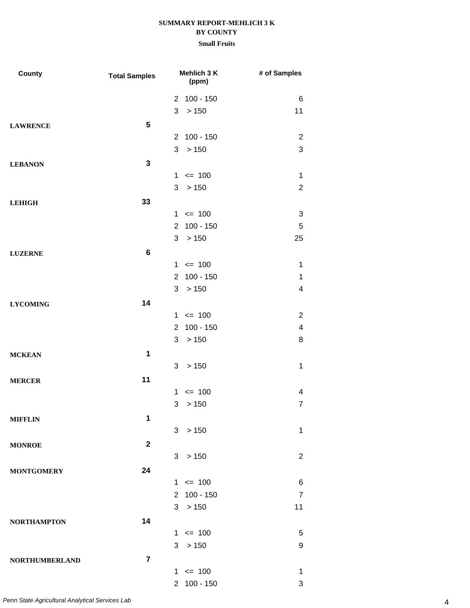| <b>County</b>         | <b>Total Samples</b> |                | Mehlich 3 K<br>(ppm) | # of Samples            |
|-----------------------|----------------------|----------------|----------------------|-------------------------|
|                       |                      |                | 2 100 - 150          | 6                       |
|                       |                      | 3              | >150                 | 11                      |
| <b>LAWRENCE</b>       | $5\phantom{.0}$      |                |                      |                         |
|                       |                      |                | 2 100 - 150          | $\overline{2}$          |
|                       |                      | 3              | > 150                | 3                       |
| <b>LEBANON</b>        | 3                    |                |                      |                         |
|                       |                      |                | $1 \le 100$          | $\mathbf 1$             |
|                       |                      | 3              | >150                 | $\overline{2}$          |
| <b>LEHIGH</b>         | 33                   |                |                      |                         |
|                       |                      |                | $1 \le 100$          | 3                       |
|                       |                      | $\overline{2}$ | $100 - 150$          | $\sqrt{5}$              |
|                       |                      | 3              | >150                 | 25                      |
| <b>LUZERNE</b>        | $\bf 6$              |                |                      |                         |
|                       |                      |                | $1 \le 100$          | 1                       |
|                       |                      |                | 2 100 - 150          | $\mathbf 1$             |
|                       |                      | 3              | >150                 | $\overline{\mathbf{4}}$ |
| <b>LYCOMING</b>       | 14                   |                |                      |                         |
|                       |                      |                | $1 \le 100$          | $\overline{2}$          |
|                       |                      | $\overline{2}$ | $100 - 150$          | $\overline{\mathbf{4}}$ |
|                       |                      | 3              | >150                 | 8                       |
| <b>MCKEAN</b>         | 1                    |                |                      |                         |
|                       |                      | 3              | >150                 | $\mathbf 1$             |
|                       | 11                   |                |                      |                         |
| <b>MERCER</b>         |                      | $\mathbf 1$    | $= 100$              | 4                       |
|                       |                      | 3              | > 150                | $\overline{7}$          |
|                       |                      |                |                      |                         |
| <b>MIFFLIN</b>        | 1                    |                |                      |                         |
|                       |                      |                | 3 > 150              | $\mathbf 1$             |
| <b>MONROE</b>         | $\mathbf 2$          |                |                      |                         |
|                       |                      |                | 3 > 150              | $\overline{2}$          |
| <b>MONTGOMERY</b>     | 24                   |                |                      |                         |
|                       |                      |                | $1 \le 100$          | 6                       |
|                       |                      |                | 2 100 - 150          | $\overline{7}$          |
|                       |                      |                | 3 > 150              | 11                      |
| <b>NORTHAMPTON</b>    | 14                   |                |                      |                         |
|                       |                      |                | $1 \le 100$          | 5                       |
|                       |                      |                | 3 > 150              | 9                       |
| <b>NORTHUMBERLAND</b> | $\overline{7}$       |                |                      |                         |
|                       |                      |                | $1 \le 100$          | $\mathbf 1$             |
|                       |                      |                | 2 100 - 150          | 3                       |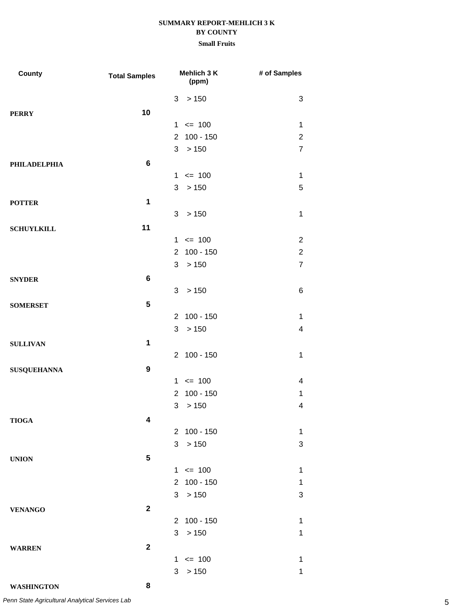| County              | <b>Total Samples</b> | Mehlich 3 K<br>(ppm)          | # of Samples   |
|---------------------|----------------------|-------------------------------|----------------|
|                     |                      | > 150<br>3                    | 3              |
| <b>PERRY</b>        | 10                   |                               |                |
|                     |                      | $\leq$ 100<br>$\mathbf{1}$    | 1              |
|                     |                      | $100 - 150$<br>$\overline{2}$ | $\overline{c}$ |
|                     |                      | >150<br>3                     | $\overline{7}$ |
| <b>PHILADELPHIA</b> | $\bf 6$              |                               |                |
|                     |                      | $\leq$ 100<br>$\mathbf{1}$    | $\mathbf 1$    |
|                     |                      | 3<br>>150                     | 5              |
| <b>POTTER</b>       | $\mathbf 1$          |                               |                |
|                     |                      | 3<br>>150                     | $\mathbf 1$    |
| <b>SCHUYLKILL</b>   | 11                   |                               |                |
|                     |                      | $\leq$ 100<br>$\mathbf{1}$    | $\overline{2}$ |
|                     |                      | $100 - 150$<br>$\overline{2}$ | $\overline{c}$ |
|                     |                      | >150<br>3                     | $\overline{7}$ |
| <b>SNYDER</b>       | 6                    |                               |                |
|                     |                      | 3<br>>150                     | 6              |
| <b>SOMERSET</b>     | 5                    |                               |                |
|                     |                      | 2 100 - 150                   | $\mathbf 1$    |
|                     |                      | > 150<br>3                    | $\overline{4}$ |
| <b>SULLIVAN</b>     | 1                    |                               |                |
|                     |                      | 2 100 - 150                   | 1              |
| <b>SUSQUEHANNA</b>  | $\boldsymbol{9}$     |                               |                |
|                     |                      | $1 \le 100$                   | 4              |
|                     |                      | $100 - 150$<br>$\overline{2}$ | 1              |
|                     |                      | >150<br>3                     | 4              |
| <b>TIOGA</b>        | 4                    |                               |                |
|                     |                      | 2 100 - 150                   | 1              |
|                     |                      | 3<br>> 150                    | 3              |
| <b>UNION</b>        | 5                    |                               |                |
|                     |                      | $1 \le 100$                   | 1              |
|                     |                      | $100 - 150$<br>$\overline{2}$ | $\mathbf 1$    |
|                     |                      | 3 > 150                       | 3              |
| <b>VENANGO</b>      | $\mathbf{2}$         |                               |                |
|                     |                      | 2 100 - 150                   | 1              |
|                     |                      | 3<br>>150                     | 1              |
| <b>WARREN</b>       | $\mathbf{2}$         |                               |                |
|                     |                      | $1 \le 100$                   | 1              |
|                     |                      | 3<br>>150                     | 1              |
| <b>WASHINGTON</b>   | 8                    |                               |                |